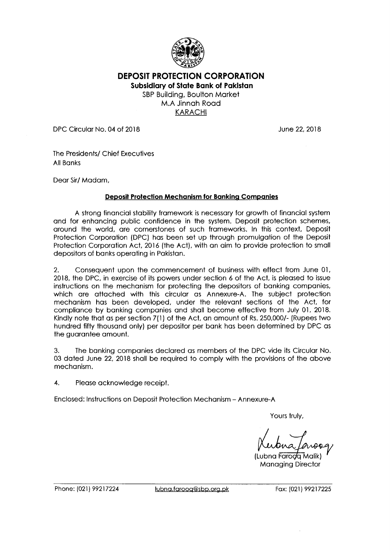

**DEPOSIT PROTECTION CORPORATION Subsidiary of State Bank of Pakistan**  SBP Building, Boulton Market M.A Jinnah Road

KARACHI

DPC Circular No. 04 of 2018 June 22, 2018

The Presidents/ Chief Executives All Banks

Dear Sir/ Madam,

## **Deposit Protection Mechanism for Banking Companies**

A strong financial stability framework is necessary for growth of financial system and for enhancing public confidence in the system. Deposit protection schemes, around the world, are cornerstones of such frameworks. In this context, Deposit Protection Corporation (DPC) has been set up through promulgation of the Deposit Protection Corporation Act, 2016 (the Act), with an aim to provide protection to small depositors of banks operating in Pakistan.

2. Consequent upon the commencement of business with effect from June 01, 2018, the DPC, in exercise of its powers under section 6 of the Act, is pleased to issue instructions on the mechanism for protecting the depositors of banking companies, which are attached with this circular as Annexure-A. The subject protection mechanism has been developed, under the relevant sections of the Act, for compliance by banking companies and shall become effective from July 01, 2018. Kindly note that as per section 7(1) of the Act, an amount of Rs. 250,000/- (Rupees two hundred fifty thousand only) per depositor per bank has been determined by DPC as the guarantee amount.

3. The banking companies declared as members of the DPC vide its Circular No. 03 dated June 22, 2018 shall be required to comply with the provisions of the above mechanism.

4. Please acknowledge receipt.

Enclosed: Instructions on Deposit Protection Mechanism - Annexure-A

Yours truly,

(Lubna Faroda Malik) Managing Director

Phone: (021) 99217224 lubna.farooq@sbp.org.pk Fax: (021) 99217225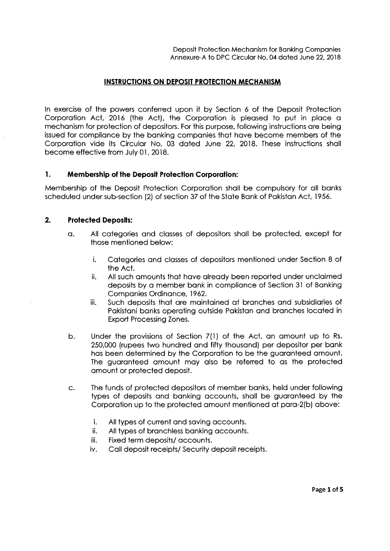## **INSTRUCTIONS ON DEPOSIT PROTECTION MECHANISM**

In exercise of the powers conferred upon it by Section 6 of the Deposit Protection Corporation Act, 2016 (the Act), the Corporation is pleased to put in place a mechanism for protection of depositors. For this purpose, following instructions are being issued for compliance by the banking companies that have become members of the Corporation vide its Circular No. 03 dated June 22, 2018. These instructions shall become effective from July 01, 2018.

## **1. Membership of the Deposit Protection Corporation:**

Membership of the Deposit Protection Corporation shall be compulsory for all banks scheduled under sub-section (2) of section 37 of the State Bank of Pakistan Act, 1956.

## **2. Protected Deposits:**

- a. All categories and classes of depositors shall be protected, except for those mentioned below:
	- i. Categories and classes of depositors mentioned under Section 8 of the Act.
	- ii. All such amounts that have already been reported under unclaimed deposits by a member bank in compliance of Section 31 of Banking Companies Ordinance, 1962.
	- iii. Such deposits that are maintained at branches and subsidiaries of Pakistani banks operating outside Pakistan and branches located in Export Processing Zones.
- b. Under the provisions of Section 7(1) of the Act, an amount up to Rs. 250,000 (rupees two hundred and fifty thousand) per depositor per bank has been determined by the Corporation to be the guaranteed amount. The guaranteed amount may also be referred to as the protected amount or protected deposit.
- C. The funds of protected depositors of member banks, held under following types of deposits and banking accounts, shall be guaranteed by the Corporation up to the protected amount mentioned at para-2(b) above:
	- i. All types of current and saving accounts.
	- ii. All types of branchless banking accounts.
	- iii. Fixed term deposits/ accounts.
	- iv. Call deposit receipts/ Security deposit receipts.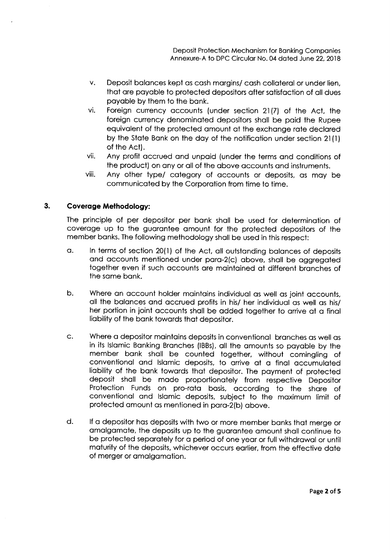Deposit Protection Mechanism for Banking Companies Annexure-A to DPC Circular No. 04 dated June 22, 2018

- V. Deposit balances kept as cash margins/ cash collateral or under lien, that are payable to protected depositors after satisfaction of all dues payable by them to the bank.
- vi. Foreign currency accounts (under section 21(7) of the Act, the foreign currency denominated depositors shall be paid the Rupee equivalent of the protected amount at the exchange rate declared by the State Bank on the day of the notification under section 21 (1) of the Act).
- vii. Any profit accrued and unpaid (under the terms and conditions of the product) on any or all of the above accounts and instruments.
- viii. Any other type/ category of accounts or deposits, as may be communicated by the Corporation from time to time.

## **3. Coverage Methodology:**

The principle of per depositor per bank shall be used for determination of coverage up to the guarantee amount for the protected depositors of the member banks. The following methodology shall be used in this respect:

- a. In terms of section 20(1) of the Act, all outstanding balances of deposits and accounts mentioned under para-2(c) above, shall be aggregated together even if such accounts are maintained at different branches of the same bank.
- b. Where an account holder maintains individual as well as joint accounts, all the balances and accrued profits in his/ her individual as well as his/ her portion in joint accounts shall be added together to arrive at a final liability of the bank towards that depositor.
- C. Where a depositor maintains deposits in conventional branches as well as in its Islamic Banking Branches (IBBs), all the amounts so payable by the member bank shall be counted together, without comingling of conventional and Islamic deposits, to arrive at a final accumulated liability of the bank towards that depositor. The payment of protected deposit shall be made proportionately from respective Depositor Protection Funds on pro-rata basis, according to the share of conventional and Islamic deposits, subject to the maximum limit of protected amount as mentioned in para-2(b) above.
- d. If a depositor has deposits with two or more member banks that merge or amalgamate, the deposits up to the guarantee amount shall continue to be protected separately for a period of one year or full withdrawal or until maturity of the deposits, whichever occurs earlier, from the effective date of merger or amalgamation.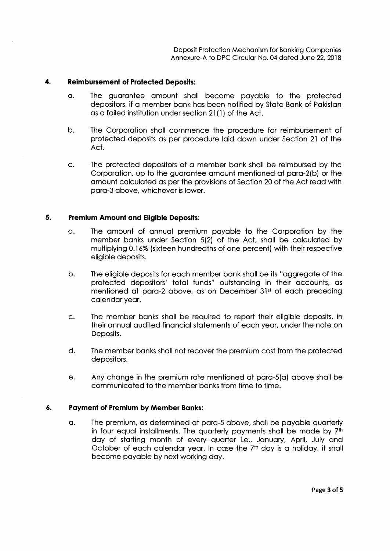Deposit Protection Mechanism for Banking Companies Annexure-A to DPC Circular No. 04 dated June 22, 2018

## **4. Reimbursement of Protected Deposits:**

- a. The guarantee amount shall become payable to the protected depositors, if a member bank has been notified by State Bank of Pakistan as a failed institution under section 21 (1) of the Act.
- b. The Corporation shall commence the procedure for reimbursement of protected deposits as per procedure laid down under Section 21 of the Act.
- C. The protected depositors of a member bank shall be reimbursed by the Corporation, up to the guarantee amount mentioned at para-2(b) or the amount calculated as per the provisions of Section 20 of the Act read with para-3 above, whichever is lower.

## **5. Premium Amount and Eligible Deposits:**

- a. The amount of annual premium payable to the Corporation by the member banks under Section 5(2) of the Act, shall be calculated by multiplying 0.16% (sixteen hundredths of one percent) with their respective eligible deposits.
- b. The eligible deposits for each member bank shall be its "aggregate of the protected depositors' total funds" outstanding in their accounts, as mentioned at para-2 above, as on December 31st of each preceding calendar year.
- C. The member banks shall be required to report their eligible deposits, in their annual audited financial statements of each year, under the note on Deposits.
- d. The member banks shall not recover the premium cost from the protected depositors.
- e. Any change in the premium rate mentioned at para-5(a) above shall be communicated to the member banks from time to time.

## **6. Payment of Premium by Member Banks:**

a. The premium, as determined at para-5 above, shall be payable quarterly in four equal installments. The quarterly payments shall be made by 7<sup>th</sup> day of starting month of every quarter i.e., January, April, July and October of each calendar year. In case the  $7<sup>th</sup>$  day is a holiday, it shall become payable by next working day.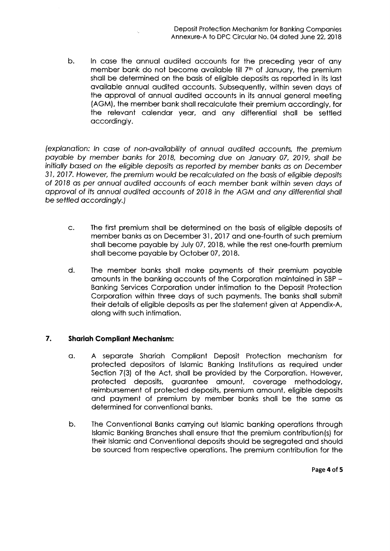b. In case the annual audited accounts for the preceding year of any member bank do not become available till 7<sup>th</sup> of January, the premium shall be determined on the basis of eligible deposits as reported in its last available annual audited accounts. Subsequently, within seven days of the approval of annual audited accounts in its annual general meeting (AGM), the member bank shall recalculate their premium accordingly, for the relevant calendar year, and any differential shall be settled accordingly.

(explanation: In case of non-availability of annual audited accounts, the premium payable by member banks for 2018, becoming due on January 07, 2019, shall be initially based on the eligible deposits as reported by member banks as on December 31, 2017. However, the premium would be recalculated on the basis of eligible deposits of 2018 as per annual audited accounts of each member bank within seven days of approval of its annual audited accounts of 2018 in the AGM and any differential shall be settled accordingly.)

- C. The first premium shall be determined on the basis of eligible deposits of member banks as on December 31, 2017 and one-fourth of such premium shall become payable by July 07, 2018, while the rest one-fourth premium shall become payable by October 07, 2018.
- d. The member banks shall make payments of their premium payable amounts in the banking accounts of the Corporation maintained in SBP - Banking Services Corporation under intimation to the Deposit Protection Corporation within three days of such payments. The banks shall submit their details of eligible deposits as per the statement given at Appendix-A, along with such intimation.

## **7. Sharlah Compliant Mechanism:**

- a. A separate Shariah Compliant Deposit Protection mechanism for protected depositors of Islamic Banking Institutions as required under Section 7(3) of the Act, shall be provided by the Corporation. However, protected deposits, guarantee amount, coverage methodology, reimbursement of protected deposits, premium amount, eligible deposits and payment of premium by member banks shall be the same as determined for conventional banks.
- b. The Conventional Banks carrying out Islamic banking operations through Islamic Banking Branches shall ensure that the premium contribution(s) for their Islamic and Conventional deposits should be segregated and should be sourced from respective operations. The premium contribution for the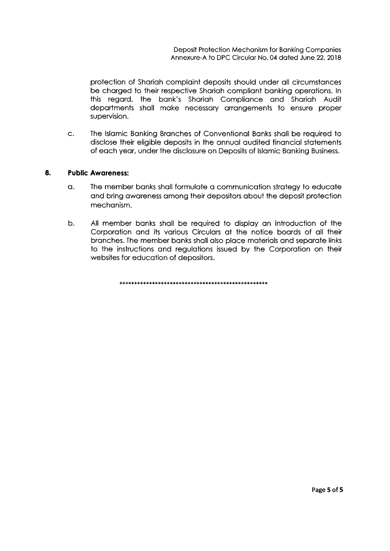protection of Shariah complaint deposits should under all circumstances be charged to their respective Shariah compliant banking operations. In this regard, the bank's Shariah Compliance and Shariah Audit departments shall make necessary arrangements to ensure proper supervision.

C. The Islamic Banking Branches of Conventional Banks shall be required to disclose their eligible deposits in the annual audited financial statements of each year, under the disclosure on Deposits of Islamic Banking Business.

## **8. Public Awareness:**

- a. The member banks shall formulate a communication strategy to educate and bring awareness among their depositors about the deposit protection mechanism.
- b. All member banks shall be required to display an introduction of the Corporation and its various Circulars at the notice boards of all their branches. The member banks shall also place materials and separate links to the instructions and regulations issued by the Corporation on their websites for education of depositors.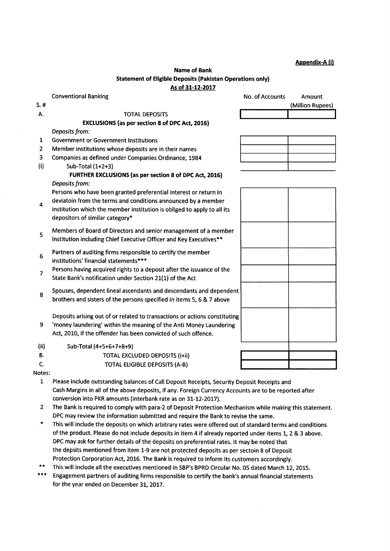#### Appendix**-A (i)**

(Million Rupees)

#### **Name** *of* **Bank Statement** *of* **Eligible Deposits (Pakistan Operations only)**  *As of 31-12-2017*

Conventional Banking

*Deposits from:* 

S. #

 $\overline{4}$ 

| <b>No. of Accounts</b> | <b>Amount</b> |
|------------------------|---------------|
|                        |               |

A. TOTAL DEPOSITS **EXCLUSIONS (as per section** *8 of* **DPC** *Act, 2016)* 

2 Member institutions whose deposits are in their names

1 Government or Government Institutions

3 Companies as defined under Companies Ordinance, 1984 (i) Sub-Total (1+2+3) **FURTHER EXCLUSIONS (as per section** *8 of* **DPC Act,** *2016) Deposits from:*  Persons who have been granted preferential interest or return in

deviatoin from the terms and conditions announced by a member

- institution which the member institution is obliged to apply to all its depositors of similar category\*
- Members of Board of Directors and senior management of a member institution including Chief Executive Officer and Key Executives\*\* 5
- Partners of auditing firms responsible to certify the member institutions' financial statements\*\*\* 6
- Persons having acquired rights to a deposit after the issuance of the State Bank's notification under Section 21(1) of the Act 7
- Spouses, dependent lineal ascendants and descendants and dependent brothers and sisters of the persons specified in items 5, 6 & 7 above 8

Deposits arising out of or related to transactions or actions constituting

- 9 'money laundering' within the meaning of the Anti Money Laundering Act, 2010, if the offender has been convicted of such offence.
- (ii) Sub-Total (4+5+6+7+8+9)
- B. TOTAL EXCLUDED DEPOSITS (i+ii)
- C. TOTAL ELIGIBLE DEPOSITS (A-B)
- Notes:
	- 1 Please include outstanding balances of Call Deposit Receipts, Security Deposit Receipts and Cash Margins in all of the above deposits, if any. Foreign Currency Accounts are to be reported after conversion into PKR amounts (interbank rate as on 31-12-2017).
	- 2 The Bank is required to comply with para-2 of Deposit Protection Mechanism while making this statement. DPC may review the information submitted and require the Bank to revise the same.
	- This will include the deposits on which arbitrary rates were offered out of standard terms and conditions of the product. Please do not include deposits in item 4 if already reported under items 1, 2 & 3 above. DPC may ask for further details of the deposits on preferential rates. It may be noted that the depsits mentioned from item 1-9 are not protected deposits as per sectoin 8 of Deposit Protection Corporation Act, 2016. The Bank is required to inform its customers accordingly.
- This will include all the executives mentioned in SBP's BPRD Circular No. 05 dated March 12, 2015.
- Engagement partners of auditing firms responsible to certify the bank's annual financial statements for the year ended on December 31, 2017.